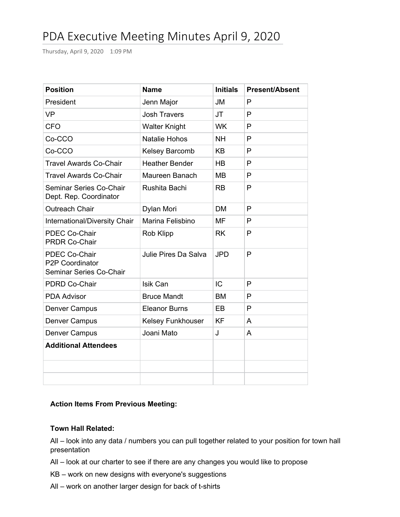# PDA Executive Meeting Minutes April 9, 2020

Thursday, April 9, 2020 1:09 PM

| <b>Position</b>                                             | <b>Name</b>           | <b>Initials</b> | <b>Present/Absent</b> |
|-------------------------------------------------------------|-----------------------|-----------------|-----------------------|
| President                                                   | Jenn Major            | <b>JM</b>       | P                     |
| <b>VP</b>                                                   | <b>Josh Travers</b>   | <b>JT</b>       | P                     |
| <b>CFO</b>                                                  | <b>Walter Knight</b>  | <b>WK</b>       | P                     |
| Co-CCO                                                      | Natalie Hohos         | <b>NH</b>       | P                     |
| Co-CCO                                                      | <b>Kelsey Barcomb</b> | <b>KB</b>       | P                     |
| <b>Travel Awards Co-Chair</b>                               | <b>Heather Bender</b> | HB              | P                     |
| <b>Travel Awards Co-Chair</b>                               | Maureen Banach        | <b>MB</b>       | P                     |
| Seminar Series Co-Chair<br>Dept. Rep. Coordinator           | Rushita Bachi         | <b>RB</b>       | P                     |
| <b>Outreach Chair</b>                                       | Dylan Mori            | <b>DM</b>       | P                     |
| International/Diversity Chair                               | Marina Felisbino      | MF              | P                     |
| PDEC Co-Chair<br><b>PRDR Co-Chair</b>                       | <b>Rob Klipp</b>      | <b>RK</b>       | P                     |
| PDEC Co-Chair<br>P2P Coordinator<br>Seminar Series Co-Chair | Julie Pires Da Salva  | <b>JPD</b>      | P                     |
| <b>PDRD Co-Chair</b>                                        | Isik Can              | IC              | P                     |
| <b>PDA Advisor</b>                                          | <b>Bruce Mandt</b>    | <b>BM</b>       | P                     |
| Denver Campus                                               | <b>Eleanor Burns</b>  | EB              | P                     |
| <b>Denver Campus</b>                                        | Kelsey Funkhouser     | <b>KF</b>       | A                     |
| <b>Denver Campus</b>                                        | Joani Mato            | J               | A                     |
| <b>Additional Attendees</b>                                 |                       |                 |                       |
|                                                             |                       |                 |                       |
|                                                             |                       |                 |                       |

# **Action Items From Previous Meeting:**

#### **Town Hall Related:**

All – look into any data / numbers you can pull together related to your position for town hall presentation

All – look at our charter to see if there are any changes you would like to propose

KB – work on new designs with everyone's suggestions

All – work on another larger design for back of t-shirts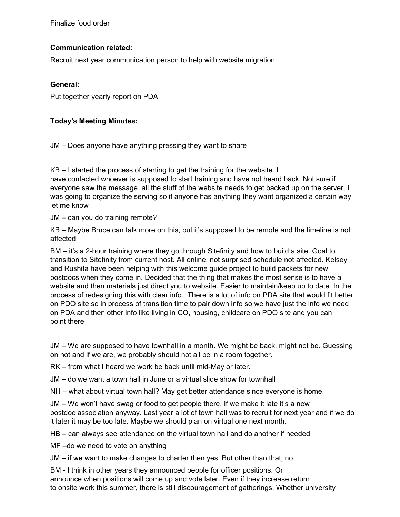Finalize food order

# **Communication related:**

Recruit next year communication person to help with website migration

## **General:**

Put together yearly report on PDA

## **Today's Meeting Minutes:**

JM – Does anyone have anything pressing they want to share

KB – I started the process of starting to get the training for the website. I have contacted whoever is supposed to start training and have not heard back. Not sure if everyone saw the message, all the stuff of the website needs to get backed up on the server, I was going to organize the serving so if anyone has anything they want organized a certain way let me know

JM – can you do training remote?

KB – Maybe Bruce can talk more on this, but it's supposed to be remote and the timeline is not affected

BM – it's a 2-hour training where they go through Sitefinity and how to build a site. Goal to transition to Sitefinity from current host. All online, not surprised schedule not affected. Kelsey and Rushita have been helping with this welcome guide project to build packets for new postdocs when they come in. Decided that the thing that makes the most sense is to have a website and then materials just direct you to website. Easier to maintain/keep up to date. In the process of redesigning this with clear info. There is a lot of info on PDA site that would fit better on PDO site so in process of transition time to pair down info so we have just the info we need on PDA and then other info like living in CO, housing, childcare on PDO site and you can point there

JM – We are supposed to have townhall in a month. We might be back, might not be. Guessing on not and if we are, we probably should not all be in a room together.

RK – from what I heard we work be back until mid-May or later.

JM – do we want a town hall in June or a virtual slide show for townhall

NH – what about virtual town hall? May get better attendance since everyone is home.

JM – We won't have swag or food to get people there. If we make it late it's a new postdoc association anyway. Last year a lot of town hall was to recruit for next year and if we do it later it may be too late. Maybe we should plan on virtual one next month.

HB – can always see attendance on the virtual town hall and do another if needed

MF –do we need to vote on anything

JM – if we want to make changes to charter then yes. But other than that, no

BM - I think in other years they announced people for officer positions. Or announce when positions will come up and vote later. Even if they increase return to onsite work this summer, there is still discouragement of gatherings. Whether university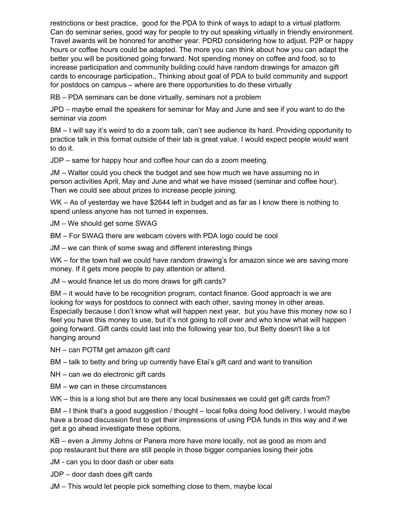restrictions or best practice, good for the PDA to think of ways to adapt to a virtual platform. Can do seminar series, good way for people to try out speaking virtually in friendly environment. Travel awards will be honored for another year. PDRD considering how to adjust. P2P or happy hours or coffee hours could be adapted. The more you can think about how you can adapt the better you will be positioned going forward. Not spending money on coffee and food, so to increase participation and community building could have random drawings for amazon gift cards to encourage participation., Thinking about goal of PDA to build community and support for postdocs on campus – where are there opportunities to do these virtually

RB – PDA seminars can be done virtually, seminars not a problem

JPD – maybe email the speakers for seminar for May and June and see if you want to do the seminar via zoom

BM – I will say it's weird to do a zoom talk, can't see audience its hard. Providing opportunity to practice talk in this format outside of their lab is great value. I would expect people would want to do it.

JDP – same for happy hour and coffee hour can do a zoom meeting.

JM – Walter could you check the budget and see how much we have assuming no in person activities April, May and June and what we have missed (seminar and coffee hour). Then we could see about prizes to increase people joining.

WK – As of yesterday we have \$2644 left in budget and as far as I know there is nothing to spend unless anyone has not turned in expenses.

JM – We should get some SWAG

BM – For SWAG there are webcam covers with PDA logo could be cool

JM – we can think of some swag and different interesting things

WK – for the town hall we could have random drawing's for amazon since we are saving more money. If it gets more people to pay attention or attend.

JM – would finance let us do more draws for gift cards?

BM – it would have to be recognition program, contact finance. Good approach is we are looking for ways for postdocs to connect with each other, saving money in other areas. Especially because I don't know what will happen next year, but you have this money now so I feel you have this money to use, but it's not going to roll over and who know what will happen going forward. Gift cards could last into the following year too, but Betty doesn't like a lot hanging around

NH – can POTM get amazon gift card

BM – talk to betty and bring up currently have Etai's gift card and want to transition

NH – can we do electronic gift cards

BM – we can in these circumstances

WK – this is a long shot but are there any local businesses we could get gift cards from?

BM – I think that's a good suggestion / thought – local folks doing food delivery. I would maybe have a broad discussion first to get their impressions of using PDA funds in this way and if we get a go ahead investigate these options.

KB – even a Jimmy Johns or Panera more have more locally, not as good as mom and pop restaurant but there are still people in those bigger companies losing their jobs

JM - can you to door dash or uber eats

JDP – door dash does gift cards

JM – This would let people pick something close to them, maybe local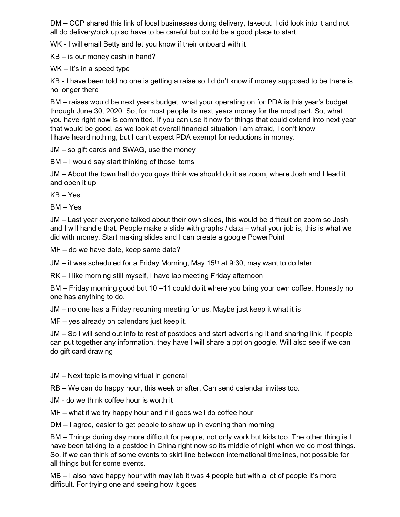DM – CCP shared this link of local businesses doing delivery, takeout. I did look into it and not all do delivery/pick up so have to be careful but could be a good place to start.

WK - I will email Betty and let you know if their onboard with it

KB – is our money cash in hand?

WK – It's in a speed type

KB - I have been told no one is getting a raise so I didn't know if money supposed to be there is no longer there

BM – raises would be next years budget, what your operating on for PDA is this year's budget through June 30, 2020. So, for most people its next years money for the most part. So, what you have right now is committed. If you can use it now for things that could extend into next year that would be good, as we look at overall financial situation I am afraid, I don't know I have heard nothing, but I can't expect PDA exempt for reductions in money.

JM – so gift cards and SWAG, use the money

BM – I would say start thinking of those items

JM – About the town hall do you guys think we should do it as zoom, where Josh and I lead it and open it up

KB – Yes

BM – Yes

JM – Last year everyone talked about their own slides, this would be difficult on zoom so Josh and I will handle that. People make a slide with graphs / data – what your job is, this is what we did with money. Start making slides and I can create a google PowerPoint

MF – do we have date, keep same date?

JM – it was scheduled for a Friday Morning, May 15<sup>th</sup> at 9:30, may want to do later

RK – I like morning still myself, I have lab meeting Friday afternoon

BM – Friday morning good but 10 –11 could do it where you bring your own coffee. Honestly no one has anything to do.

JM – no one has a Friday recurring meeting for us. Maybe just keep it what it is

MF – yes already on calendars just keep it.

JM – So I will send out info to rest of postdocs and start advertising it and sharing link. If people can put together any information, they have I will share a ppt on google. Will also see if we can do gift card drawing

JM – Next topic is moving virtual in general

RB – We can do happy hour, this week or after. Can send calendar invites too.

JM - do we think coffee hour is worth it

MF – what if we try happy hour and if it goes well do coffee hour

DM – I agree, easier to get people to show up in evening than morning

BM – Things during day more difficult for people, not only work but kids too. The other thing is I have been talking to a postdoc in China right now so its middle of night when we do most things. So, if we can think of some events to skirt line between international timelines, not possible for all things but for some events.

MB – I also have happy hour with may lab it was 4 people but with a lot of people it's more difficult. For trying one and seeing how it goes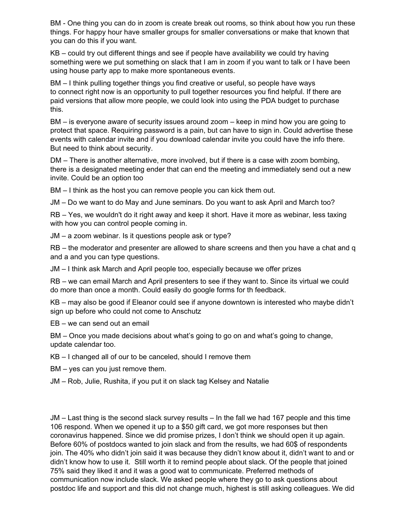BM - One thing you can do in zoom is create break out rooms, so think about how you run these things. For happy hour have smaller groups for smaller conversations or make that known that you can do this if you want.

KB – could try out different things and see if people have availability we could try having something were we put something on slack that I am in zoom if you want to talk or I have been using house party app to make more spontaneous events.

BM – I think pulling together things you find creative or useful, so people have ways to connect right now is an opportunity to pull together resources you find helpful. If there are paid versions that allow more people, we could look into using the PDA budget to purchase this.

BM – is everyone aware of security issues around zoom – keep in mind how you are going to protect that space. Requiring password is a pain, but can have to sign in. Could advertise these events with calendar invite and if you download calendar invite you could have the info there. But need to think about security.

DM – There is another alternative, more involved, but if there is a case with zoom bombing, there is a designated meeting ender that can end the meeting and immediately send out a new invite. Could be an option too

BM – I think as the host you can remove people you can kick them out.

JM – Do we want to do May and June seminars. Do you want to ask April and March too?

RB – Yes, we wouldn't do it right away and keep it short. Have it more as webinar, less taxing with how you can control people coming in.

JM – a zoom webinar. Is it questions people ask or type?

RB – the moderator and presenter are allowed to share screens and then you have a chat and q and a and you can type questions.

JM – I think ask March and April people too, especially because we offer prizes

RB – we can email March and April presenters to see if they want to. Since its virtual we could do more than once a month. Could easily do google forms for th feedback.

KB – may also be good if Eleanor could see if anyone downtown is interested who maybe didn't sign up before who could not come to Anschutz

EB – we can send out an email

BM – Once you made decisions about what's going to go on and what's going to change, update calendar too.

KB – I changed all of our to be canceled, should I remove them

BM – yes can you just remove them.

JM – Rob, Julie, Rushita, if you put it on slack tag Kelsey and Natalie

JM – Last thing is the second slack survey results – In the fall we had 167 people and this time 106 respond. When we opened it up to a \$50 gift card, we got more responses but then coronavirus happened. Since we did promise prizes, I don't think we should open it up again. Before 60% of postdocs wanted to join slack and from the results, we had 60\$ of respondents join. The 40% who didn't join said it was because they didn't know about it, didn't want to and or didn't know how to use it. Still worth it to remind people about slack. Of the people that joined 75% said they liked it and it was a good wat to communicate. Preferred methods of communication now include slack. We asked people where they go to ask questions about postdoc life and support and this did not change much, highest is still asking colleagues. We did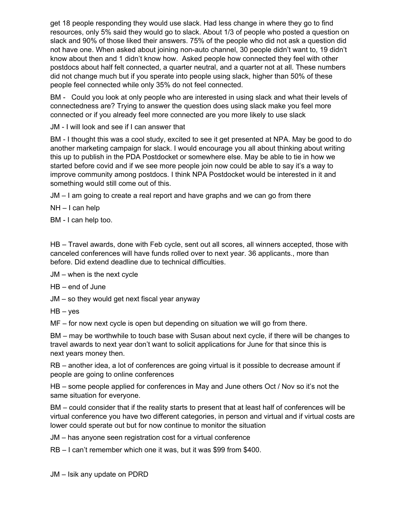get 18 people responding they would use slack. Had less change in where they go to find resources, only 5% said they would go to slack. About 1/3 of people who posted a question on slack and 90% of those liked their answers. 75% of the people who did not ask a question did not have one. When asked about joining non-auto channel, 30 people didn't want to, 19 didn't know about then and 1 didn't know how. Asked people how connected they feel with other postdocs about half felt connected, a quarter neutral, and a quarter not at all. These numbers did not change much but if you sperate into people using slack, higher than 50% of these people feel connected while only 35% do not feel connected.

BM - Could you look at only people who are interested in using slack and what their levels of connectedness are? Trying to answer the question does using slack make you feel more connected or if you already feel more connected are you more likely to use slack

JM - I will look and see if I can answer that

BM - I thought this was a cool study, excited to see it get presented at NPA. May be good to do another marketing campaign for slack. I would encourage you all about thinking about writing this up to publish in the PDA Postdocket or somewhere else. May be able to tie in how we started before covid and if we see more people join now could be able to say it's a way to improve community among postdocs. I think NPA Postdocket would be interested in it and something would still come out of this.

JM – I am going to create a real report and have graphs and we can go from there

NH – I can help

BM - I can help too.

HB – Travel awards, done with Feb cycle, sent out all scores, all winners accepted, those with canceled conferences will have funds rolled over to next year. 36 applicants., more than before. Did extend deadline due to technical difficulties.

JM – when is the next cycle

HB – end of June

JM – so they would get next fiscal year anyway

 $HB - yes$ 

MF – for now next cycle is open but depending on situation we will go from there.

BM – may be worthwhile to touch base with Susan about next cycle, if there will be changes to travel awards to next year don't want to solicit applications for June for that since this is next years money then.

RB – another idea, a lot of conferences are going virtual is it possible to decrease amount if people are going to online conferences

HB – some people applied for conferences in May and June others Oct / Nov so it's not the same situation for everyone.

BM – could consider that if the reality starts to present that at least half of conferences will be virtual conference you have two different categories, in person and virtual and if virtual costs are lower could sperate out but for now continue to monitor the situation

JM – has anyone seen registration cost for a virtual conference

RB – I can't remember which one it was, but it was \$99 from \$400.

JM – Isik any update on PDRD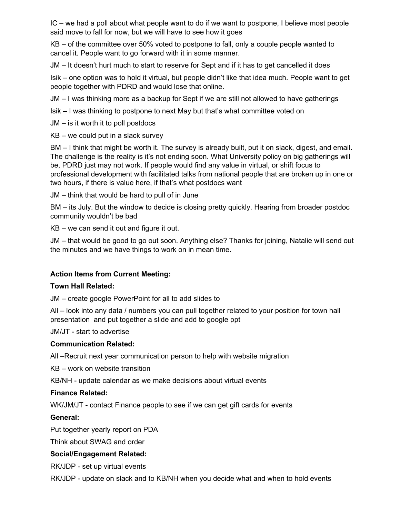IC – we had a poll about what people want to do if we want to postpone, I believe most people said move to fall for now, but we will have to see how it goes

KB – of the committee over 50% voted to postpone to fall, only a couple people wanted to cancel it. People want to go forward with it in some manner.

JM – It doesn't hurt much to start to reserve for Sept and if it has to get cancelled it does

Isik – one option was to hold it virtual, but people didn't like that idea much. People want to get people together with PDRD and would lose that online.

JM – I was thinking more as a backup for Sept if we are still not allowed to have gatherings

Isik – I was thinking to postpone to next May but that's what committee voted on

JM – is it worth it to poll postdocs

KB – we could put in a slack survey

BM – I think that might be worth it. The survey is already built, put it on slack, digest, and email. The challenge is the reality is it's not ending soon. What University policy on big gatherings will be, PDRD just may not work. If people would find any value in virtual, or shift focus to professional development with facilitated talks from national people that are broken up in one or two hours, if there is value here, if that's what postdocs want

JM – think that would be hard to pull of in June

BM – its July. But the window to decide is closing pretty quickly. Hearing from broader postdoc community wouldn't be bad

KB – we can send it out and figure it out.

JM – that would be good to go out soon. Anything else? Thanks for joining, Natalie will send out the minutes and we have things to work on in mean time.

## **Action Items from Current Meeting:**

## **Town Hall Related:**

JM – create google PowerPoint for all to add slides to

All – look into any data / numbers you can pull together related to your position for town hall presentation and put together a slide and add to google ppt

JM/JT - start to advertise

#### **Communication Related:**

All –Recruit next year communication person to help with website migration

KB – work on website transition

KB/NH - update calendar as we make decisions about virtual events

## **Finance Related:**

WK/JM/JT - contact Finance people to see if we can get gift cards for events

## **General:**

Put together yearly report on PDA

Think about SWAG and order

## **Social/Engagement Related:**

RK/JDP - set up virtual events

RK/JDP - update on slack and to KB/NH when you decide what and when to hold events